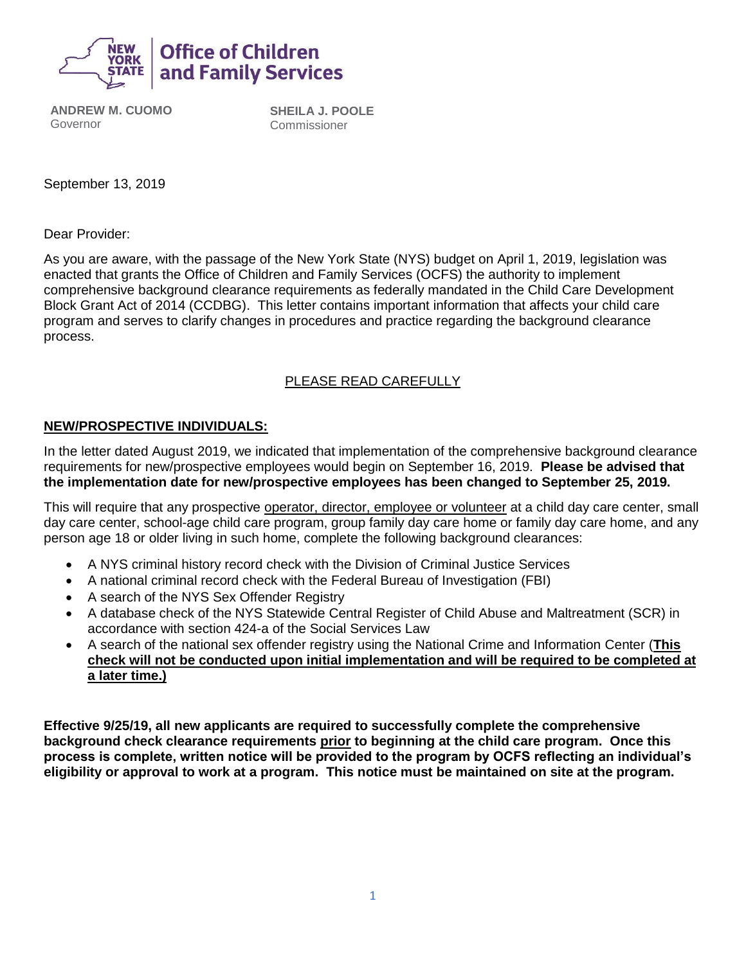

**ANDREW M. CUOMO** Governor

**SHEILA J. POOLE** Commissioner

September 13, 2019

Dear Provider:

As you are aware, with the passage of the New York State (NYS) budget on April 1, 2019, legislation was enacted that grants the Office of Children and Family Services (OCFS) the authority to implement comprehensive background clearance requirements as federally mandated in the Child Care Development Block Grant Act of 2014 (CCDBG). This letter contains important information that affects your child care program and serves to clarify changes in procedures and practice regarding the background clearance process.

## PLEASE READ CAREFULLY

#### **NEW/PROSPECTIVE INDIVIDUALS:**

In the letter dated August 2019, we indicated that implementation of the comprehensive background clearance requirements for new/prospective employees would begin on September 16, 2019. **Please be advised that the implementation date for new/prospective employees has been changed to September 25, 2019.** 

This will require that any prospective operator, director, employee or volunteer at a child day care center, small day care center, school-age child care program, group family day care home or family day care home, and any person age 18 or older living in such home, complete the following background clearances:

- A NYS criminal history record check with the Division of Criminal Justice Services
- A national criminal record check with the Federal Bureau of Investigation (FBI)
- A search of the NYS Sex Offender Registry
- A database check of the NYS Statewide Central Register of Child Abuse and Maltreatment (SCR) in accordance with section 424-a of the Social Services Law
- A search of the national sex offender registry using the National Crime and Information Center (**This check will not be conducted upon initial implementation and will be required to be completed at a later time.)**

**Effective 9/25/19, all new applicants are required to successfully complete the comprehensive background check clearance requirements prior to beginning at the child care program. Once this process is complete, written notice will be provided to the program by OCFS reflecting an individual's eligibility or approval to work at a program. This notice must be maintained on site at the program.**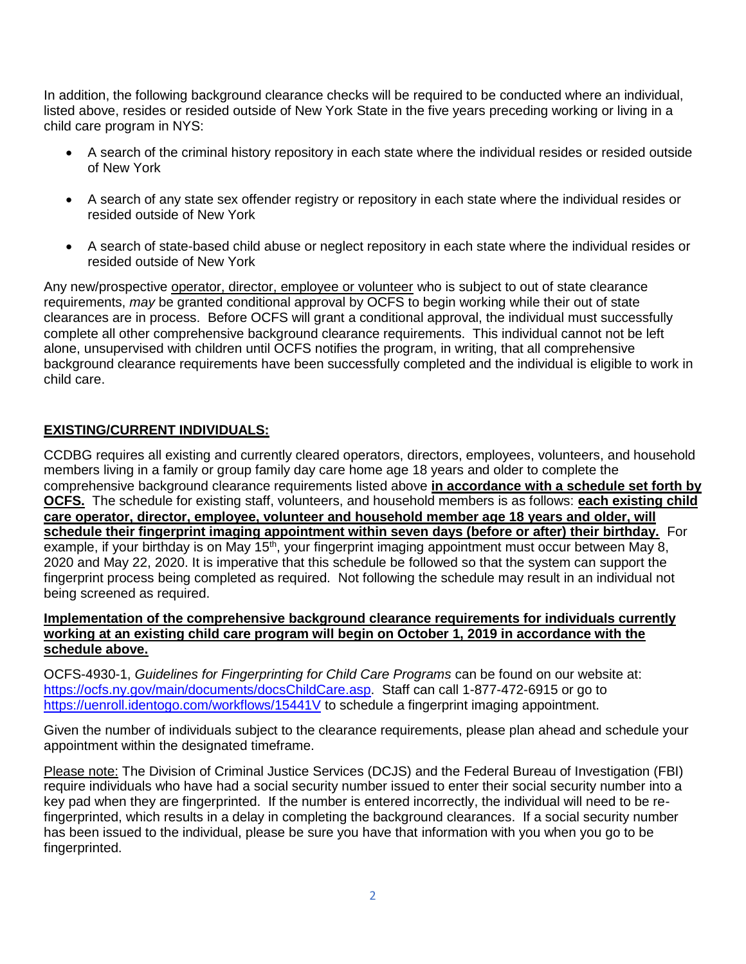In addition, the following background clearance checks will be required to be conducted where an individual, listed above, resides or resided outside of New York State in the five years preceding working or living in a child care program in NYS:

- A search of the criminal history repository in each state where the individual resides or resided outside of New York
- A search of any state sex offender registry or repository in each state where the individual resides or resided outside of New York
- A search of state-based child abuse or neglect repository in each state where the individual resides or resided outside of New York

Any new/prospective operator, director, employee or volunteer who is subject to out of state clearance requirements, *may* be granted conditional approval by OCFS to begin working while their out of state clearances are in process. Before OCFS will grant a conditional approval, the individual must successfully complete all other comprehensive background clearance requirements. This individual cannot not be left alone, unsupervised with children until OCFS notifies the program, in writing, that all comprehensive background clearance requirements have been successfully completed and the individual is eligible to work in child care.

#### **EXISTING/CURRENT INDIVIDUALS:**

CCDBG requires all existing and currently cleared operators, directors, employees, volunteers, and household members living in a family or group family day care home age 18 years and older to complete the comprehensive background clearance requirements listed above **in accordance with a schedule set forth by OCFS.** The schedule for existing staff, volunteers, and household members is as follows: **each existing child care operator, director, employee, volunteer and household member age 18 years and older, will schedule their fingerprint imaging appointment within seven days (before or after) their birthday.** For example, if your birthday is on May 15<sup>th</sup>, your fingerprint imaging appointment must occur between May 8, 2020 and May 22, 2020. It is imperative that this schedule be followed so that the system can support the fingerprint process being completed as required. Not following the schedule may result in an individual not being screened as required.

#### **Implementation of the comprehensive background clearance requirements for individuals currently working at an existing child care program will begin on October 1, 2019 in accordance with the schedule above.**

OCFS-4930-1, *Guidelines for Fingerprinting for Child Care Programs* can be found on our website at: [https://ocfs.ny.gov/main/documents/docsChildCare.asp.](https://ocfs.ny.gov/main/documents/docsChildCare.asp) Staff can call 1-877-472-6915 or go to <https://uenroll.identogo.com/workflows/15441V> to schedule a fingerprint imaging appointment.

Given the number of individuals subject to the clearance requirements, please plan ahead and schedule your appointment within the designated timeframe.

Please note: The Division of Criminal Justice Services (DCJS) and the Federal Bureau of Investigation (FBI) require individuals who have had a social security number issued to enter their social security number into a key pad when they are fingerprinted. If the number is entered incorrectly, the individual will need to be refingerprinted, which results in a delay in completing the background clearances. If a social security number has been issued to the individual, please be sure you have that information with you when you go to be fingerprinted.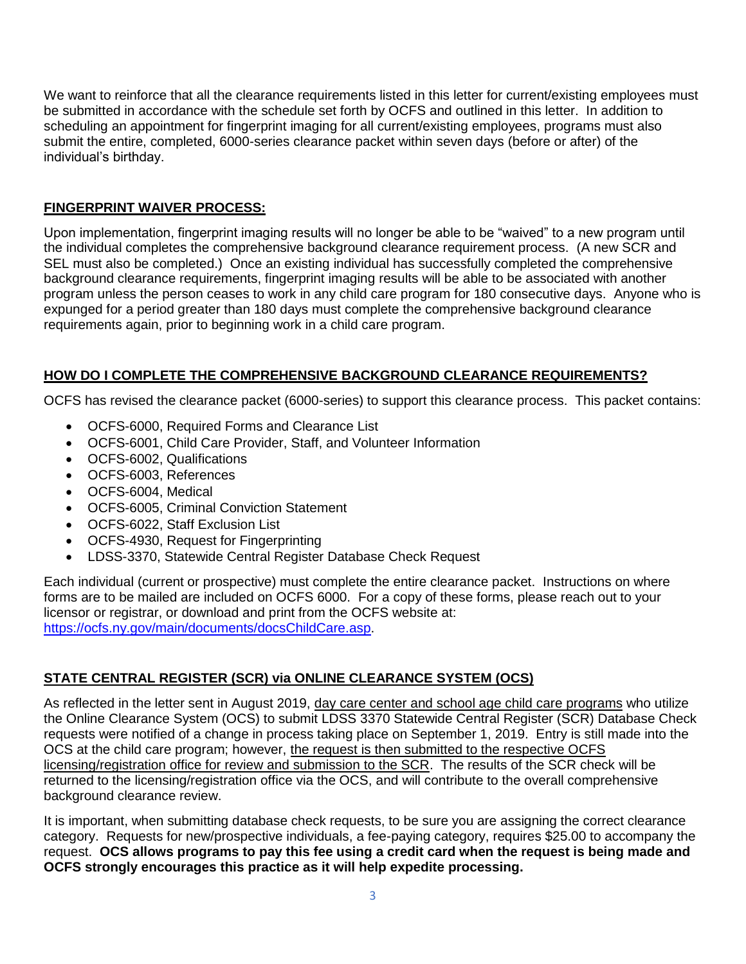We want to reinforce that all the clearance requirements listed in this letter for current/existing employees must be submitted in accordance with the schedule set forth by OCFS and outlined in this letter. In addition to scheduling an appointment for fingerprint imaging for all current/existing employees, programs must also submit the entire, completed, 6000-series clearance packet within seven days (before or after) of the individual's birthday.

## **FINGERPRINT WAIVER PROCESS:**

Upon implementation, fingerprint imaging results will no longer be able to be "waived" to a new program until the individual completes the comprehensive background clearance requirement process. (A new SCR and SEL must also be completed.) Once an existing individual has successfully completed the comprehensive background clearance requirements, fingerprint imaging results will be able to be associated with another program unless the person ceases to work in any child care program for 180 consecutive days. Anyone who is expunged for a period greater than 180 days must complete the comprehensive background clearance requirements again, prior to beginning work in a child care program.

# **HOW DO I COMPLETE THE COMPREHENSIVE BACKGROUND CLEARANCE REQUIREMENTS?**

OCFS has revised the clearance packet (6000-series) to support this clearance process. This packet contains:

- OCFS-6000, Required Forms and Clearance List
- OCFS-6001, Child Care Provider, Staff, and Volunteer Information
- OCFS-6002, Qualifications
- OCFS-6003, References
- OCFS-6004, Medical
- OCFS-6005, Criminal Conviction Statement
- OCFS-6022, Staff Exclusion List
- OCFS-4930, Request for Fingerprinting
- LDSS-3370, Statewide Central Register Database Check Request

Each individual (current or prospective) must complete the entire clearance packet. Instructions on where forms are to be mailed are included on OCFS 6000. For a copy of these forms, please reach out to your licensor or registrar, or download and print from the OCFS website at: [https://ocfs.ny.gov/main/documents/docsChildCare.asp.](https://ocfs.ny.gov/main/documents/docsChildCare.asp)

## **STATE CENTRAL REGISTER (SCR) via ONLINE CLEARANCE SYSTEM (OCS)**

As reflected in the letter sent in August 2019, day care center and school age child care programs who utilize the Online Clearance System (OCS) to submit LDSS 3370 Statewide Central Register (SCR) Database Check requests were notified of a change in process taking place on September 1, 2019. Entry is still made into the OCS at the child care program; however, the request is then submitted to the respective OCFS licensing/registration office for review and submission to the SCR. The results of the SCR check will be returned to the licensing/registration office via the OCS, and will contribute to the overall comprehensive background clearance review.

It is important, when submitting database check requests, to be sure you are assigning the correct clearance category. Requests for new/prospective individuals, a fee-paying category, requires \$25.00 to accompany the request. **OCS allows programs to pay this fee using a credit card when the request is being made and OCFS strongly encourages this practice as it will help expedite processing.**